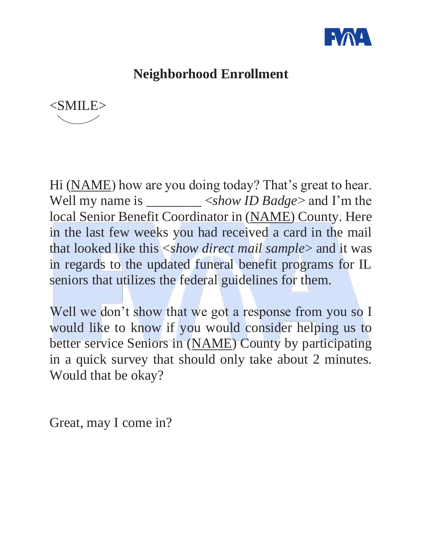

## **Neighborhood Enrollment**



Hi (NAME) how are you doing today? That's great to hear. Well my name is \_\_\_\_\_\_\_\_ <*show ID Badge*> and I'm the local Senior Benefit Coordinator in (NAME) County. Here in the last few weeks you had received a card in the mail that looked like this <*show direct mail sample*> and it was in regards to the updated funeral benefit programs for IL seniors that utilizes the federal guidelines for them.

Well we don't show that we got a response from you so I would like to know if you would consider helping us to better service Seniors in (NAME) County by participating in a quick survey that should only take about 2 minutes. Would that be okay?

Great, may I come in?